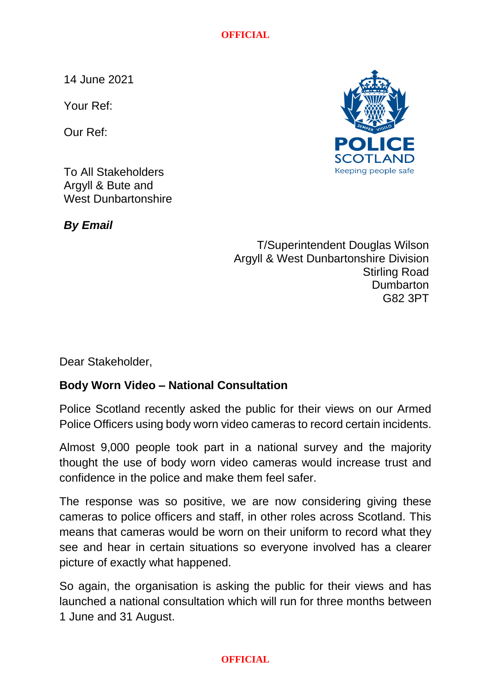**OFFICIAL**

14 June 2021

Your Ref:

Our Ref:



To All Stakeholders Argyll & Bute and West Dunbartonshire

*By Email*

T/Superintendent Douglas Wilson Argyll & West Dunbartonshire Division Stirling Road **Dumbarton** G82 3PT

Dear Stakeholder,

## **Body Worn Video – National Consultation**

Police Scotland recently asked the public for their views on our Armed Police Officers using body worn video cameras to record certain incidents.

Almost 9,000 people took part in a national survey and the majority thought the use of body worn video cameras would increase trust and confidence in the police and make them feel safer.

The response was so positive, we are now considering giving these cameras to police officers and staff, in other roles across Scotland. This means that cameras would be worn on their uniform to record what they see and hear in certain situations so everyone involved has a clearer picture of exactly what happened.

So again, the organisation is asking the public for their views and has launched a national consultation which will run for three months between 1 June and 31 August.

## **OFFICIAL**